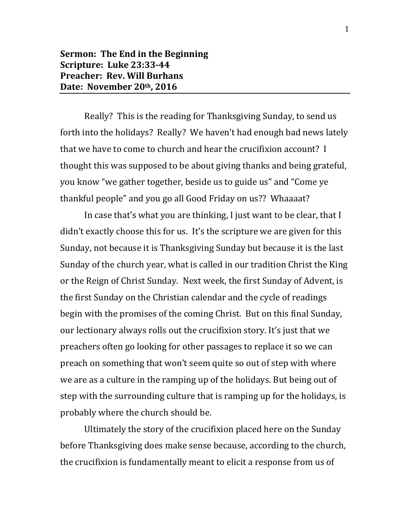Really? This is the reading for Thanksgiving Sunday, to send us forth into the holidays? Really? We haven't had enough bad news lately that we have to come to church and hear the crucifixion account? I thought this was supposed to be about giving thanks and being grateful, you know "we gather together, beside us to guide us" and "Come ye thankful people" and you go all Good Friday on us?? Whaaaat?

In case that's what you are thinking, I just want to be clear, that I didn't exactly choose this for us. It's the scripture we are given for this Sunday, not because it is Thanksgiving Sunday but because it is the last Sunday of the church year, what is called in our tradition Christ the King or the Reign of Christ Sunday. Next week, the first Sunday of Advent, is the first Sunday on the Christian calendar and the cycle of readings begin with the promises of the coming Christ. But on this final Sunday, our lectionary always rolls out the crucifixion story. It's just that we preachers often go looking for other passages to replace it so we can preach on something that won't seem quite so out of step with where we are as a culture in the ramping up of the holidays. But being out of step with the surrounding culture that is ramping up for the holidays, is probably where the church should be.

Ultimately the story of the crucifixion placed here on the Sunday before Thanksgiving does make sense because, according to the church, the crucifixion is fundamentally meant to elicit a response from us of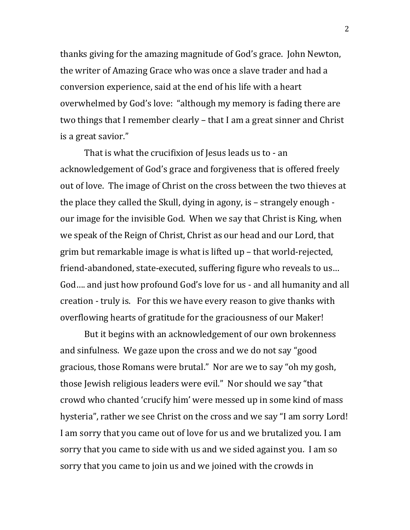thanks giving for the amazing magnitude of God's grace. John Newton, the writer of Amazing Grace who was once a slave trader and had a conversion experience, said at the end of his life with a heart overwhelmed by God's love: "although my memory is fading there are two things that I remember clearly – that I am a great sinner and Christ is a great savior."

That is what the crucifixion of Jesus leads us to - an acknowledgement of God's grace and forgiveness that is offered freely out of love. The image of Christ on the cross between the two thieves at the place they called the Skull, dying in agony, is – strangely enough our image for the invisible God. When we say that Christ is King, when we speak of the Reign of Christ, Christ as our head and our Lord, that grim but remarkable image is what is lifted up – that world-rejected, friend-abandoned, state-executed, suffering figure who reveals to us… God…. and just how profound God's love for us - and all humanity and all creation - truly is. For this we have every reason to give thanks with overflowing hearts of gratitude for the graciousness of our Maker!

But it begins with an acknowledgement of our own brokenness and sinfulness. We gaze upon the cross and we do not say "good gracious, those Romans were brutal." Nor are we to say "oh my gosh, those Jewish religious leaders were evil." Nor should we say "that crowd who chanted 'crucify him' were messed up in some kind of mass hysteria", rather we see Christ on the cross and we say "I am sorry Lord! I am sorry that you came out of love for us and we brutalized you. I am sorry that you came to side with us and we sided against you. I am so sorry that you came to join us and we joined with the crowds in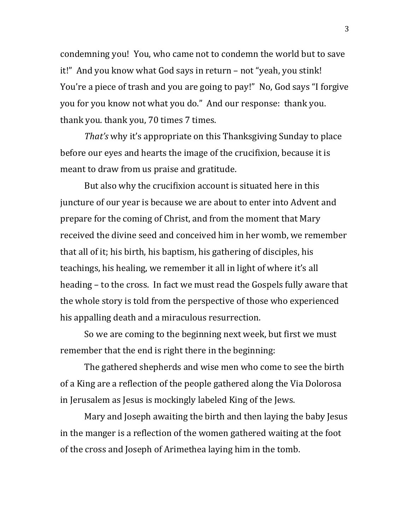condemning you! You, who came not to condemn the world but to save it!" And you know what God says in return – not "yeah, you stink! You're a piece of trash and you are going to pay!" No, God says "I forgive you for you know not what you do." And our response: thank you. thank you. thank you, 70 times 7 times.

*That's* why it's appropriate on this Thanksgiving Sunday to place before our eyes and hearts the image of the crucifixion, because it is meant to draw from us praise and gratitude.

But also why the crucifixion account is situated here in this juncture of our year is because we are about to enter into Advent and prepare for the coming of Christ, and from the moment that Mary received the divine seed and conceived him in her womb, we remember that all of it; his birth, his baptism, his gathering of disciples, his teachings, his healing, we remember it all in light of where it's all heading – to the cross. In fact we must read the Gospels fully aware that the whole story is told from the perspective of those who experienced his appalling death and a miraculous resurrection.

So we are coming to the beginning next week, but first we must remember that the end is right there in the beginning:

The gathered shepherds and wise men who come to see the birth of a King are a reflection of the people gathered along the Via Dolorosa in Jerusalem as Jesus is mockingly labeled King of the Jews.

Mary and Joseph awaiting the birth and then laying the baby Jesus in the manger is a reflection of the women gathered waiting at the foot of the cross and Joseph of Arimethea laying him in the tomb.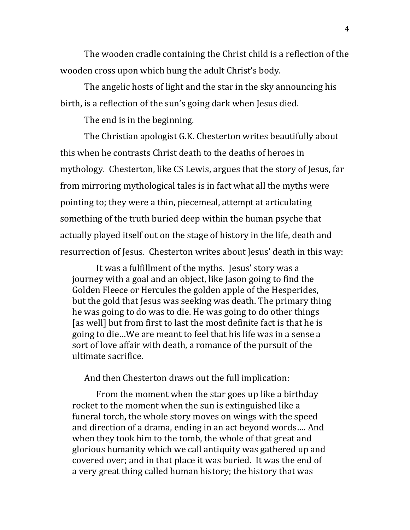The wooden cradle containing the Christ child is a reflection of the wooden cross upon which hung the adult Christ's body.

The angelic hosts of light and the star in the sky announcing his birth, is a reflection of the sun's going dark when Jesus died.

The end is in the beginning.

The Christian apologist G.K. Chesterton writes beautifully about this when he contrasts Christ death to the deaths of heroes in mythology. Chesterton, like CS Lewis, argues that the story of Jesus, far from mirroring mythological tales is in fact what all the myths were pointing to; they were a thin, piecemeal, attempt at articulating something of the truth buried deep within the human psyche that actually played itself out on the stage of history in the life, death and resurrection of Jesus. Chesterton writes about Jesus' death in this way:

It was a fulfillment of the myths. Jesus' story was a journey with a goal and an object, like Jason going to find the Golden Fleece or Hercules the golden apple of the Hesperides, but the gold that Jesus was seeking was death. The primary thing he was going to do was to die. He was going to do other things [as well] but from first to last the most definite fact is that he is going to die…We are meant to feel that his life was in a sense a sort of love affair with death, a romance of the pursuit of the ultimate sacrifice.

And then Chesterton draws out the full implication:

From the moment when the star goes up like a birthday rocket to the moment when the sun is extinguished like a funeral torch, the whole story moves on wings with the speed and direction of a drama, ending in an act beyond words…. And when they took him to the tomb, the whole of that great and glorious humanity which we call antiquity was gathered up and covered over; and in that place it was buried. It was the end of a very great thing called human history; the history that was